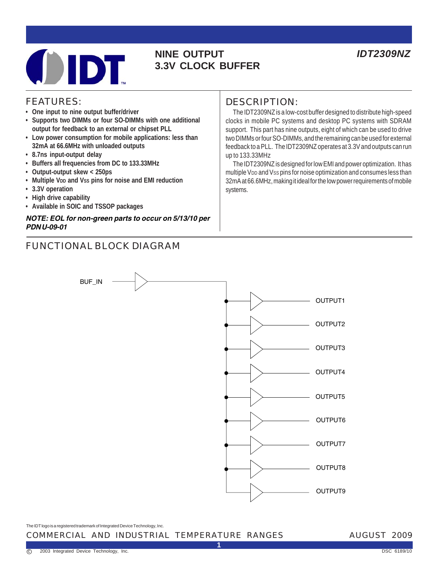# **NINE OUTPUT** *IDT2309NZ* **3.3V CLOCK BUFFER**

### FEATURES:

- **One input to nine output buffer/driver**
- **Supports two DIMMs or four SO-DIMMs with one additional output for feedback to an external or chipset PLL**
- **Low power consumption for mobile applications: less than 32mA at 66.6MHz with unloaded outputs**
- **8.7ns input-output delay**
- **Buffers all frequencies from DC to 133.33MHz**
- **Output-output skew < 250ps**
- Multiple V<sub>DD</sub> and Vss pins for noise and EMI reduction
- **3.3V operation**
- **High drive capability**
- **Available in SOIC and TSSOP packages**

#### **NOTE: EOL for non-green parts to occur on 5/13/10 per PDN U-09-01**

# FUNCTIONAL BLOCK DIAGRAM

## DESCRIPTION:

 The IDT2309NZ is a low-cost buffer designed to distribute high-speed clocks in mobile PC systems and desktop PC systems with SDRAM support. This part has nine outputs, eight of which can be used to drive two DIMMs or four SO-DIMMs, and the remaining can be used for external feedback to a PLL. The IDT2309NZ operates at 3.3V and outputs can run up to 133.33MHz

 The IDT2309NZ is designed for low EMI and power optimization. It has multiple V<sub>DD</sub> and Vss pins for noise optimization and consumes less than 32mA at 66.6MHz, making it ideal for the low power requirements of mobile systems.



**1**

The IDT logo is a registered trademark of Integrated Device Technology, Inc.

#### COMMERCIAL AND INDUSTRIAL TEMPERATURE RANGES

#### AUGUST 2009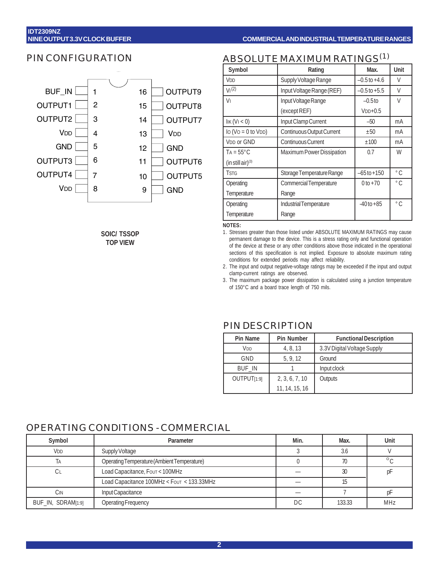#### PIN CONFIGURATION



**SOIC/ TSSOP TOP VIEW**

# ABSOLUTE MAXIMUM RATINGS(1)

| Symbol                                   | Rating                    | Max.             | Unit          |
|------------------------------------------|---------------------------|------------------|---------------|
| V <sub>DD</sub>                          | Supply Voltage Range      | $-0.5$ to $+4.6$ | V             |
| V <sub>1</sub> (2)                       | Input Voltage Range (REF) | $-0.5$ to $+5.5$ | V             |
| V١                                       | Input Voltage Range       | $-0.5$ to        | V             |
|                                          | (except REF)              | $VDD+0.5$        |               |
| $I$ IK $(VI < 0)$                        | Input Clamp Current       | $-50$            | mA            |
| $\log (V_O = 0 \text{ to } V_{DD})$      | Continuous Output Current | ±50              | mA            |
| <b>VDD or GND</b>                        | Continuous Current        | $+100$           | mA            |
| $TA = 55^{\circ}C$                       | Maximum Power Dissipation | 0.7              | W             |
| $(in still air)^{(3)}$                   |                           |                  |               |
| <b>TSTG</b><br>Storage Temperature Range |                           | $-65$ to $+150$  | $^{\circ}$ C. |
| Operating                                | Commercial Temperature    | $0 to +70$       | $^{\circ}$ C. |
| Temperature                              | Range                     |                  |               |
| Industrial Temperature<br>Operating      |                           | $-40$ to $+85$   | $^{\circ}$ C  |
| Temperature                              | Range                     |                  |               |

**NOTES:**

- 1. Stresses greater than those listed under ABSOLUTE MAXIMUM RATINGS may cause permanent damage to the device. This is a stress rating only and functional operation of the device at these or any other conditions above those indicated in the operational sections of this specification is not implied. Exposure to absolute maximum rating conditions for extended periods may affect reliability.
- 2. The input and output negative-voltage ratings may be exceeded if the input and output clamp-current ratings are observed.
- 3. The maximum package power dissipation is calculated using a junction temperature of 150°C and a board trace length of 750 mils.

| Pin Name                | <b>Pin Number</b> | <b>Functional Description</b> |
|-------------------------|-------------------|-------------------------------|
| V <sub>DD</sub>         | 4, 8, 13          | 3.3V Digital Voltage Supply   |
| GND                     | 5, 9, 12          | Ground                        |
| <b>BUF IN</b>           |                   | Input clock                   |
| OUTPUT <sub>[1:9]</sub> | 2, 3, 6, 7, 10    | Outputs                       |
|                         | 11, 14, 15, 16    |                               |

#### PIN DESCRIPTION

#### OPERATING CONDITIONS - COMMERCIAL

| Symbol                 | Parameter                                   | Min. | Max.   | Unit    |
|------------------------|---------------------------------------------|------|--------|---------|
| <b>V</b> <sub>DD</sub> | Supply Voltage                              |      | 3.6    |         |
| ĪΑ                     | Operating Temperature (Ambient Temperature) |      | 70     | $\circ$ |
| Сı                     | Load Capacitance, Four < 100MHz             |      | 30     | рŀ      |
|                        | Load Capacitance 100MHz < Four < 133.33MHz  |      |        |         |
| Cin                    | Input Capacitance                           |      |        |         |
| BUF_IN, SDRAM[1:9]     | Operating Frequency                         | DC   | 133.33 | MHz     |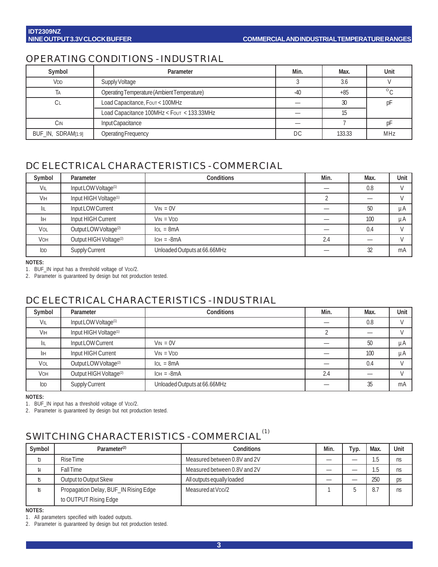# OPERATING CONDITIONS - INDUSTRIAL

| Symbol             | Parameter                                   | Min.  | Max.   | Unit    |
|--------------------|---------------------------------------------|-------|--------|---------|
| V <sub>DD</sub>    | Supply Voltage                              |       | 3.6    |         |
| ΤA                 | Operating Temperature (Ambient Temperature) | $-40$ | $+85$  | $\circ$ |
| ÜΕ                 | Load Capacitance, Four < 100MHz             |       |        |         |
|                    | Load Capacitance 100MHz < Four < 133.33MHz  |       |        |         |
| Cin                | Input Capacitance                           |       |        |         |
| BUF_IN, SDRAM[1:9] | <b>Operating Frequency</b>                  | DC    | 133.33 | MHz     |

# DC ELECTRICAL CHARACTERISTICS - COMMERCIAL

| Symbol          | Parameter                          | <b>Conditions</b>            | Min. | Max. | Unit          |
|-----------------|------------------------------------|------------------------------|------|------|---------------|
| VIL             | Input LOW Voltage <sup>(1)</sup>   |                              |      | 0.8  |               |
| <b>VIH</b>      | Input HIGH Voltage <sup>(1)</sup>  |                              |      |      |               |
| IIL             | Input LOW Current                  | $V_{IN} = 0V$                |      | 50   | μA            |
| İІН             | Input HIGH Current                 | $V_{IN} = V_{DD}$            |      | 100  | uA            |
| VOL             | Output LOW Voltage <sup>(2)</sup>  | $IoL = 8mA$                  |      | 0.4  |               |
| <b>VOH</b>      | Output HIGH Voltage <sup>(2)</sup> | $IOH = -8mA$                 | 2.4  | _    | $\mathcal{L}$ |
| I <sub>DD</sub> | Supply Current                     | Unloaded Outputs at 66.66MHz |      | 32   | mA            |

**NOTES:**

1. BUF\_IN input has a threshold voltage of VDD/2.

2. Parameter is guaranteed by design but not production tested.

## DC ELECTRICAL CHARACTERISTICS - INDUSTRIAL

| Symbol          | Parameter                          | Conditions                   | Min. | Max. | Unit |
|-----------------|------------------------------------|------------------------------|------|------|------|
| VIL             | Input LOW Voltage <sup>(1)</sup>   |                              |      | 0.8  |      |
| VIH             | Input HIGH Voltage <sup>(1)</sup>  |                              |      |      |      |
| IIL             | Input LOW Current                  | $V_{IN} = 0V$                |      | 50   | μA   |
| IІН             | Input HIGH Current                 | $VIN = VDD$                  |      | 100  | μA   |
| VOL             | Output LOW Voltage <sup>(2)</sup>  | $IoL = 8mA$                  |      | 0.4  |      |
| VOH             | Output HIGH Voltage <sup>(2)</sup> | $IOH = -8mA$                 | 2.4  |      |      |
| I <sub>DD</sub> | Supply Current                     | Unloaded Outputs at 66.66MHz |      | 35   | mA   |

**NOTES:**

1. BUF\_IN input has a threshold voltage of VDD/2.

2. Parameter is guaranteed by design but not production tested.

# SWITCHING CHARACTERISTICS - COMMERCIAL<sup>(1)</sup>

| Symbol | Parameter <sup>(2)</sup>              | Conditions                     | Min. | тур. | Max.                 | Unit |
|--------|---------------------------------------|--------------------------------|------|------|----------------------|------|
| t3     | Rise Time                             | Measured between 0.8V and 2V   |      | _    | $\mathsf{h}$<br>ن. ا | ns   |
| t4     | <b>Fall Time</b>                      | Measured between 0.8V and 2V   |      |      | h<br>ن. ا            | ns   |
| t5     | Output to Output Skew                 | All outputs equally loaded     |      |      | 250                  | ps   |
| 16     | Propagation Delay, BUF_IN Rising Edge | Measured at V <sub>DD</sub> /2 |      |      | 8.7                  | ns   |
|        | to OUTPUT Rising Edge                 |                                |      |      |                      |      |

**NOTES:**

1. All parameters specified with loaded outputs.

2. Parameter is guaranteed by design but not production tested.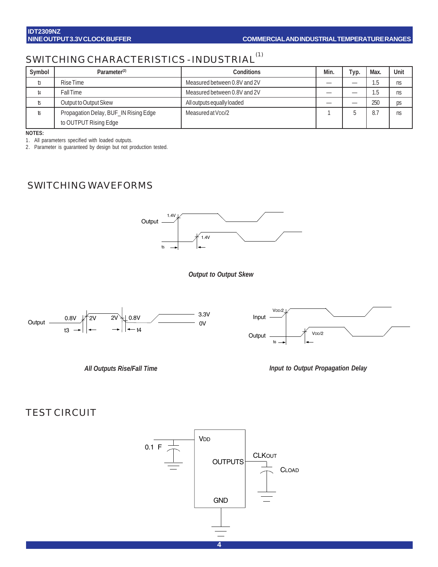# SWITCHING CHARACTERISTICS - INDUSTRIAL<sup>(1)</sup>

| Symbol | Parameter <sup>(2)</sup>              | Conditions                     | Min. | Typ. | Max.      | Unit |
|--------|---------------------------------------|--------------------------------|------|------|-----------|------|
| b      | Rise Time                             | Measured between 0.8V and 2V   |      |      | Б<br>ن. ا | ns   |
| t4     | <b>Fall Time</b>                      | Measured between 0.8V and 2V   |      |      | 片<br>ر    | ns   |
|        | Output to Output Skew                 | All outputs equally loaded     |      |      | 250       | ps   |
| 16     | Propagation Delay, BUF_IN Rising Edge | Measured at V <sub>DD</sub> /2 |      |      | 8.7       | ns   |
|        | to OUTPUT Rising Edge                 |                                |      |      |           |      |

**NOTES:**

1. All parameters specified with loaded outputs.

2. Parameter is guaranteed by design but not production tested.

# SWITCHING WAVEFORMS



*Output to Output Skew*









## TEST CIRCUIT